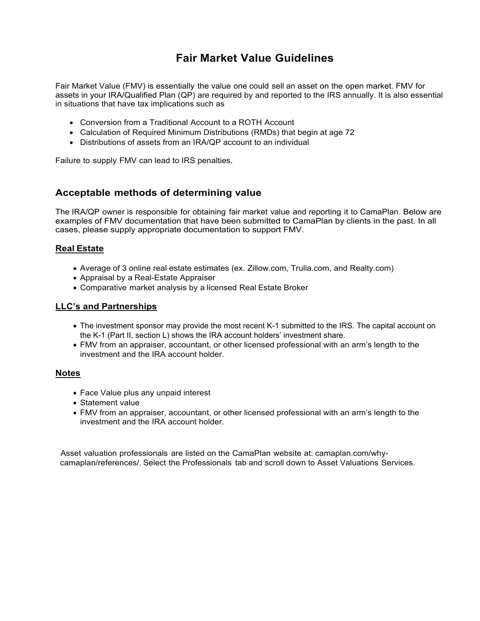# **Fair Market Value Guidelines**

Fair Market Value (FMV) is essentially the value one could sell an asset on the open market. FMV for assets in your IRA/Qualified Plan (QP) are required by and reported to the IRS annually. It is also essential in situations that have tax implications such as

- Conversion from a Traditional Account to a ROTH Account
- Calculation of Required Minimum Distributions (RMDs) that begin at age 72
- Distributions of assets from an IRA/QP account to an individual

Failure to supply FMV can lead to IRS penalties.

### **Acceptable methods of determining value**

The IRA/QP owner is responsible for obtaining fair market value and reporting it to CamaPlan. Below are examples of FMV documentation that have been submitted to CamaPlan by clients in the past. In all cases, please supply appropriate documentation to support FMV.

#### **Real Estate**

- Average of 3 online real estate estimates (ex. Zillow.com, Trulia.com, and Realty.com)
- Appraisal by a Real-Estate Appraiser
- Comparative market analysis by a licensed Real Estate Broker

#### **LLC's and Partnerships**

- The investment sponsor may provide the most recent K-1 submitted to the IRS. The capital account on the K-1 (Part II, section L) shows the IRA account holders' investment share.
- FMV from an appraiser, accountant, or other licensed professional with an arm's length to the investment and the IRA account holder.

#### **Notes**

- Face Value plus any unpaid interest
- Statement value
- FMV from an appraiser, accountant, or other licensed professional with an arm's length to the investment and the IRA account holder.

Asset valuation professionals are listed on the CamaPlan website at: camaplan.com/whycamaplan/references/. Select the Professionals tab and scroll down to Asset Valuations Services.